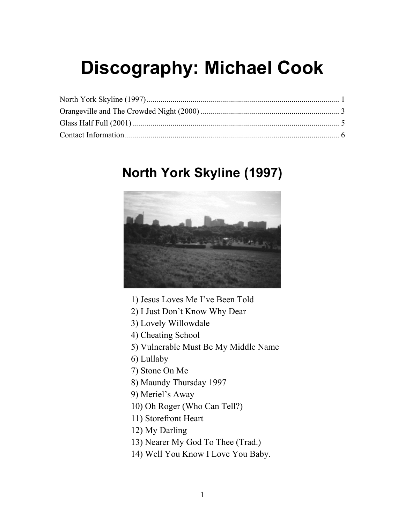# <span id="page-0-0"></span>**Discography: Michael Cook**

### **North York Skyline (1997)**



1) Jesus Loves Me I've Been Told

- 2) I Just Don't Know Why Dear
- 3) Lovely Willowdale
- 4) Cheating School
- 5) Vulnerable Must Be My Middle Name
- 6) Lullaby
- 7) Stone On Me
- 8) Maundy Thursday 1997
- 9) Meriel's Away
- 10) Oh Roger (Who Can Tell?)
- 11) Storefront Heart
- 12) My Darling
- 13) Nearer My God To Thee (Trad.)
- 14) Well You Know I Love You Baby.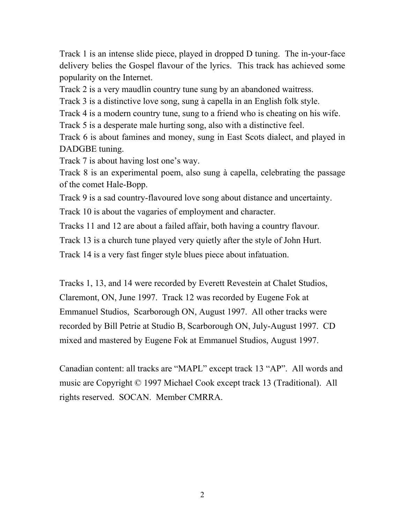Track 1 is an intense slide piece, played in dropped D tuning. The in-your-face delivery belies the Gospel flavour of the lyrics. This track has achieved some popularity on the Internet.

Track 2 is a very maudlin country tune sung by an abandoned waitress.

Track 3 is a distinctive love song, sung à capella in an English folk style.

Track 4 is a modern country tune, sung to a friend who is cheating on his wife.

Track 5 is a desperate male hurting song, also with a distinctive feel.

Track 6 is about famines and money, sung in East Scots dialect, and played in DADGBE tuning.

Track 7 is about having lost one's way.

Track 8 is an experimental poem, also sung à capella, celebrating the passage of the comet Hale-Bopp.

Track 9 is a sad country-flavoured love song about distance and uncertainty.

Track 10 is about the vagaries of employment and character.

Tracks 11 and 12 are about a failed affair, both having a country flavour.

Track 13 is a church tune played very quietly after the style of John Hurt.

Track 14 is a very fast finger style blues piece about infatuation.

Tracks 1, 13, and 14 were recorded by Everett Revestein at Chalet Studios, Claremont, ON, June 1997. Track 12 was recorded by Eugene Fok at Emmanuel Studios, Scarborough ON, August 1997. All other tracks were recorded by Bill Petrie at Studio B, Scarborough ON, July-August 1997. CD mixed and mastered by Eugene Fok at Emmanuel Studios, August 1997.

Canadian content: all tracks are "MAPL" except track 13 "AP". All words and music are Copyright © 1997 Michael Cook except track 13 (Traditional). All rights reserved. SOCAN. Member CMRRA.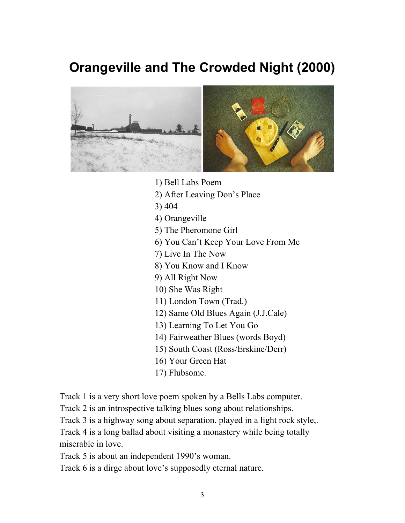## <span id="page-2-0"></span>**Orangeville and The Crowded Night (2000)**



- 1) Bell Labs Poem
- 2) After Leaving Don's Place
- 3) 404
- 4) Orangeville
- 5) The Pheromone Girl
- 6) You Can't Keep Your Love From Me
- 7) Live In The Now
- 8) You Know and I Know
- 9) All Right Now
- 10) She Was Right
- 11) London Town (Trad.)
- 12) Same Old Blues Again (J.J.Cale)
- 13) Learning To Let You Go
- 14) Fairweather Blues (words Boyd)
- 15) South Coast (Ross/Erskine/Derr)
- 16) Your Green Hat
- 17) Flubsome.

Track 1 is a very short love poem spoken by a Bells Labs computer.

Track 2 is an introspective talking blues song about relationships.

Track 3 is a highway song about separation, played in a light rock style,.

Track 4 is a long ballad about visiting a monastery while being totally miserable in love.

Track 5 is about an independent 1990's woman.

Track 6 is a dirge about love's supposedly eternal nature.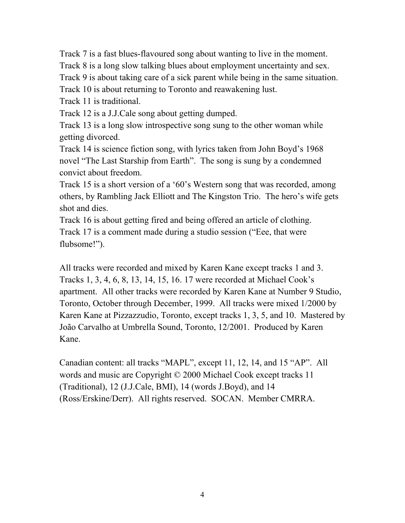Track 7 is a fast blues-flavoured song about wanting to live in the moment. Track 8 is a long slow talking blues about employment uncertainty and sex. Track 9 is about taking care of a sick parent while being in the same situation. Track 10 is about returning to Toronto and reawakening lust.

Track 11 is traditional.

Track 12 is a J.J.Cale song about getting dumped.

Track 13 is a long slow introspective song sung to the other woman while getting divorced.

Track 14 is science fiction song, with lyrics taken from John Boyd's 1968 novel "The Last Starship from Earth". The song is sung by a condemned convict about freedom.

Track 15 is a short version of a '60's Western song that was recorded, among others, by Rambling Jack Elliott and The Kingston Trio. The hero's wife gets shot and dies.

Track 16 is about getting fired and being offered an article of clothing. Track 17 is a comment made during a studio session ("Eee, that were flubsome!").

All tracks were recorded and mixed by Karen Kane except tracks 1 and 3. Tracks 1, 3, 4, 6, 8, 13, 14, 15, 16. 17 were recorded at Michael Cook's apartment. All other tracks were recorded by Karen Kane at Number 9 Studio, Toronto, October through December, 1999. All tracks were mixed 1/2000 by Karen Kane at Pizzazzudio, Toronto, except tracks 1, 3, 5, and 10. Mastered by João Carvalho at Umbrella Sound, Toronto, 12/2001. Produced by Karen Kane.

Canadian content: all tracks "MAPL", except 11, 12, 14, and 15 "AP". All words and music are Copyright © 2000 Michael Cook except tracks 11 (Traditional), 12 (J.J.Cale, BMI), 14 (words J.Boyd), and 14 (Ross/Erskine/Derr). All rights reserved. SOCAN. Member CMRRA.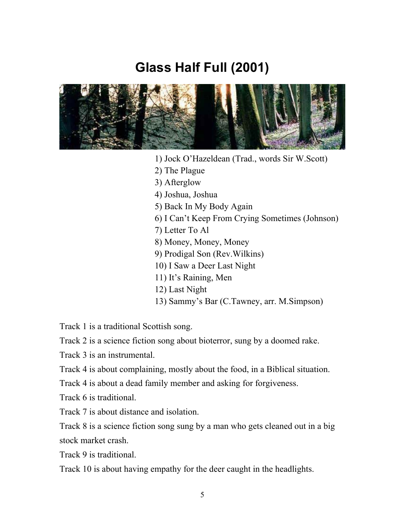#### **Glass Half Full (2001)**

<span id="page-4-0"></span>

- 1) Jock O'Hazeldean (Trad., words Sir W.Scott)
- 2) The Plague
- 3) Afterglow
- 4) Joshua, Joshua
- 5) Back In My Body Again
- 6) I Can't Keep From Crying Sometimes (Johnson)
- 7) Letter To Al
- 8) Money, Money, Money
- 9) Prodigal Son (Rev.Wilkins)
- 10) I Saw a Deer Last Night
- 11) It's Raining, Men
- 12) Last Night
- 13) Sammy's Bar (C.Tawney, arr. M.Simpson)

Track 1 is a traditional Scottish song.

Track 2 is a science fiction song about bioterror, sung by a doomed rake.

Track 3 is an instrumental.

Track 4 is about complaining, mostly about the food, in a Biblical situation.

Track 4 is about a dead family member and asking for forgiveness.

Track 6 is traditional.

Track 7 is about distance and isolation.

Track 8 is a science fiction song sung by a man who gets cleaned out in a big stock market crash.

Track 9 is traditional.

Track 10 is about having empathy for the deer caught in the headlights.